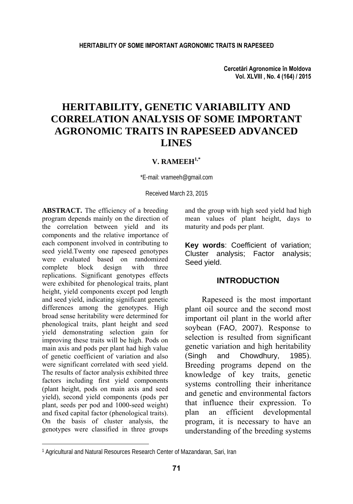**Cercetări Agronomice în Moldova Vol. XLVIII , No. 4 (164) / 2015** 

# **HERITABILITY, GENETIC VARIABILITY AND CORRELATION ANALYSIS OF SOME IMPORTANT AGRONOMIC TRAITS IN RAPESEED ADVANCED LINES**

# **V. RAMEEH1,\***

\*E-mail: vrameeh@gmail.com

Received March 23, 2015

**ABSTRACT.** The efficiency of a breeding program depends mainly on the direction of the correlation between yield and its components and the relative importance of each component involved in contributing to seed yield.Twenty one rapeseed genotypes were evaluated based on randomized complete block design with three replications. Significant genotypes effects were exhibited for phenological traits, plant height, yield components except pod length and seed yield, indicating significant genetic differences among the genotypes. High broad sense heritability were determined for phenological traits, plant height and seed yield demonstrating selection gain for improving these traits will be high. Pods on main axis and pods per plant had high value of genetic coefficient of variation and also were significant correlated with seed yield. The results of factor analysis exhibited three factors including first yield components (plant height, pods on main axis and seed yield), second yield components (pods per plant, seeds per pod and 1000-seed weight) and fixed capital factor (phenological traits). On the basis of cluster analysis, the genotypes were classified in three groups

l

and the group with high seed yield had high mean values of plant height, days to maturity and pods per plant.

**Key words**: Coefficient of variation; Cluster analysis; Factor analysis; Seed yield.

## **INTRODUCTION**

Rapeseed is the most important plant oil source and the second most important oil plant in the world after soybean (FAO, 2007). Response to selection is resulted from significant genetic variation and high heritability (Singh and Chowdhury, 1985). Breeding programs depend on the knowledge of key traits, genetic systems controlling their inheritance and genetic and environmental factors that influence their expression. To plan an efficient developmental program, it is necessary to have an understanding of the breeding systems

<sup>&</sup>lt;sup>1</sup> Agricultural and Natural Resources Research Center of Mazandaran, Sari, Iran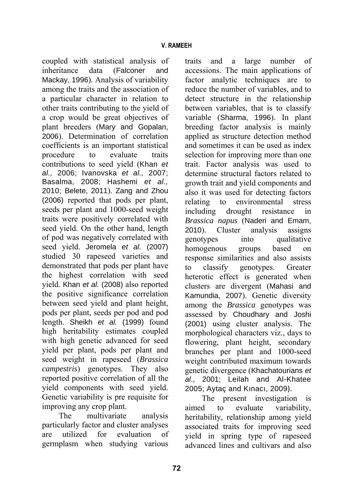coupled with statistical analysis of inheritance data (Falconer and Mackay, 1996). Analysis of variability among the traits and the association of a particular character in relation to other traits contributing to the yield of a crop would be great objectives of plant breeders (Mary and Gopalan, 2006). Determination of correlation coefficients is an important statistical procedure to evaluate traits contributions to seed yield (Khan *et al.,* 2006; Ivanovska *et al.,* 2007; Basalma, 2008; Hashemi *et al.,* 2010; Belete, 2011). Zang and Zhou (2006) reported that pods per plant, seeds per plant and 1000-seed weight traits were positively correlated with seed yield. On the other hand, length of pod was negatively correlated with seed yield. Jeromela *et al.* (2007) studied 30 rapeseed varieties and demonstrated that pods per plant have the highest correlation with seed yield. Khan *et al.* (2008) also reported the positive significance correlation between seed yield and plant height, pods per plant, seeds per pod and pod length. Sheikh *et al.* (1999) found high heritability estimates coupled with high genetic advanced for seed yield per plant, pods per plant and seed weight in rapeseed (*Brassica campestris*) genotypes. They also reported positive correlation of all the yield components with seed yield. Genetic variability is pre requisite for improving any crop plant.

The multivariate analysis particularly factor and cluster analyses are utilized for evaluation of germplasm when studying various

traits and a large number of accessions. The main applications of factor analytic techniques are to reduce the number of variables, and to detect structure in the relationship between variables, that is to classify variable (Sharma, 1996). In plant breeding factor analysis is mainly applied as structure detection method and sometimes it can be used as index selection for improving more than one trait. Factor analysis was used to determine structural factors related to growth trait and yield components and also it was used for detecting factors relating to environmental stress including drought resistance in *Brassica napus* (Naderi and Emam, 2010). Cluster analysis assigns genotypes into qualitative homogenous groups based on response similarities and also assists to classify genotypes. Greater heterotic effect is generated when clusters are divergent (Mahasi and Kamundia, 2007). Genetic diversity among the *Brassica* genotypes was assessed by Choudhary and Joshi (2001) using cluster analysis. The morphological characters viz., days to flowering, plant height, secondary branches per plant and 1000-seed weight contributed maximum towards genetic divergence (Khachatourians *et al*., 2001; Leilah and Al-Khatee 2005; Aytaç and Kınacı, 2009).

The present investigation is aimed to evaluate variability, heritability, relationship among yield associated traits for improving seed yield in spring type of rapeseed advanced lines and cultivars and also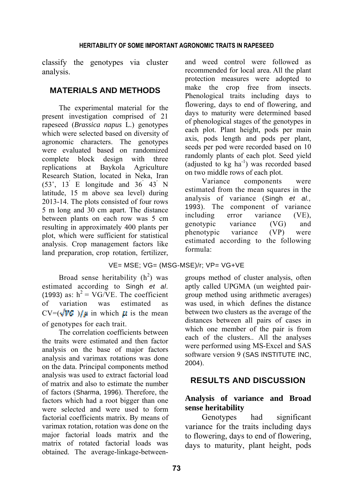classify the genotypes via cluster analysis.

### **MATERIALS AND METHODS**

The experimental material for the present investigation comprised of 21 rapeseed (*Brassica napus* L.) genotypes which were selected based on diversity of agronomic characters. The genotypes were evaluated based on randomized complete block design with three replications at Baykola Agriculture Research Station, located in Neka, Iran  $(53^\circ, 13^\prime)$  E longitude and  $36^\circ$   $43^\prime$  N latitude, 15 m above sea level) during 2013-14. The plots consisted of four rows 5 m long and 30 cm apart. The distance between plants on each row was 5 cm resulting in approximately 400 plants per plot, which were sufficient for statistical analysis. Crop management factors like land preparation, crop rotation, fertilizer,

and weed control were followed as recommended for local area. All the plant protection measures were adopted to make the crop free from insects. Phenological traits including days to flowering, days to end of flowering, and days to maturity were determined based of phenological stages of the genotypes in each plot. Plant height, pods per main axis, pods length and pods per plant, seeds per pod were recorded based on 10 randomly plants of each plot. Seed yield (adjusted to  $kg$  ha<sup>-1</sup>) was recorded based on two middle rows of each plot.

Variance components were estimated from the mean squares in the analysis of variance (Singh *et al.,* 1993). The component of variance including error variance (VE), genotypic variance (VG) and phenotypic variance (VP) were estimated according to the following formula:

#### VE= MSE; VG= (MSG-MSE)/r; VP= VG+VE

Broad sense heritability  $(h^2)$  was estimated according to Singh *et al*. (1993) as:  $h^2 = V G/VE$ . The coefficient of variation was estimated as  $CV=(\sqrt{VG} )/\mu$  in which  $\mu$  is the mean of genotypes for each trait.

The correlation coefficients between the traits were estimated and then factor analysis on the base of major factors analysis and varimax rotations was done on the data. Principal components method analysis was used to extract factorial load of matrix and also to estimate the number of factors (Sharma, 1996). Therefore, the factors which had a root bigger than one were selected and were used to form factorial coefficients matrix. By means of varimax rotation, rotation was done on the major factorial loads matrix and the matrix of rotated factorial loads was obtained. The average-linkage-betweengroups method of cluster analysis, often aptly called UPGMA (un weighted pairgroup method using arithmetic averages) was used, in which defines the distance between two clusters as the average of the distances between all pairs of cases in which one member of the pair is from each of the clusters.. All the analyses were performed using MS-Excel and SAS software version 9 (SAS INSTITUTE INC, 2004).

# **RESULTS AND DISCUSSION**

## **Analysis of variance and Broad sense heritability**

Genotypes had significant variance for the traits including days to flowering, days to end of flowering, days to maturity, plant height, pods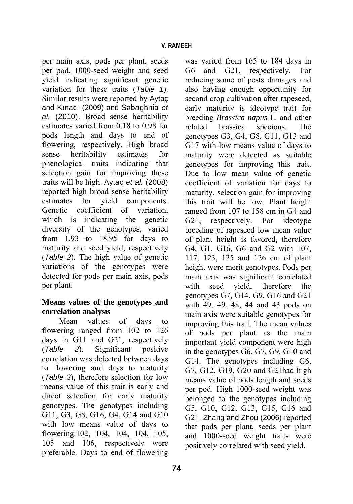per main axis, pods per plant, seeds per pod, 1000-seed weight and seed yield indicating significant genetic variation for these traits (*Table 1*). Similar results were reported by Aytaç and Kınacı (2009) and Sabaghnia *et al.* (2010). Broad sense heritability estimates varied from 0.18 to 0.98 for pods length and days to end of flowering, respectively. High broad sense heritability estimates for phenological traits indicating that selection gain for improving these traits will be high. Aytaç *et al.* (2008) reported high broad sense heritability estimates for yield components. Genetic coefficient of variation, which is indicating the genetic diversity of the genotypes, varied from 1.93 to 18.95 for days to maturity and seed yield, respectively (*Table 2*). The high value of genetic variations of the genotypes were detected for pods per main axis, pods per plant.

# **Means values of the genotypes and correlation analysis**

Mean values of days to flowering ranged from 102 to 126 days in G11 and G21, respectively (*Table 2*). Significant positive correlation was detected between days to flowering and days to maturity (*Table 3*), therefore selection for low means value of this trait is early and direct selection for early maturity genotypes. The genotypes including G11, G3, G8, G16, G4, G14 and G10 with low means value of days to flowering:102, 104, 104, 104, 105, 105 and 106, respectively were preferable. Days to end of flowering

G6 and G21, respectively. For reducing some of pests damages and also having enough opportunity for second crop cultivation after rapeseed, early maturity is ideotype trait for breeding *Brassica napus* L. and other related brassica specious. The genotypes G3, G4, G8, G11, G13 and G17 with low means value of days to maturity were detected as suitable genotypes for improving this trait. Due to low mean value of genetic coefficient of variation for days to maturity, selection gain for improving this trait will be low. Plant height ranged from 107 to 158 cm in G4 and G21, respectively. For ideotype breeding of rapeseed low mean value of plant height is favored, therefore G4, G1, G16, G6 and G2 with 107, 117, 123, 125 and 126 cm of plant height were merit genotypes. Pods per main axis was significant correlated with seed yield, therefore the genotypes G7, G14, G9, G16 and G21 with 49, 49, 48, 44 and 43 pods on main axis were suitable genotypes for improving this trait. The mean values of pods per plant as the main important yield component were high in the genotypes G6, G7, G9, G10 and G14. The genotypes including G6, G7, G12, G19, G20 and G21had high means value of pods length and seeds per pod. High 1000-seed weight was belonged to the genotypes including G5, G10, G12, G13, G15, G16 and G21. Zhang and Zhou (2006) reported that pods per plant, seeds per plant and 1000-seed weight traits were positively correlated with seed yield.

was varied from 165 to 184 days in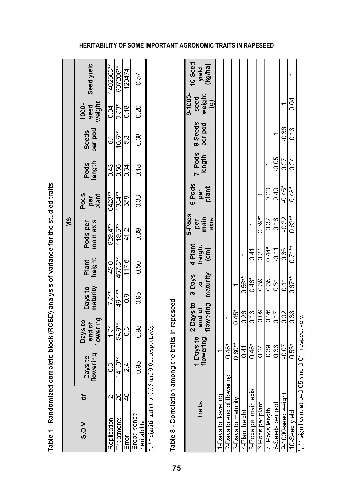|                             |                   |                        |                                |                                  |                          |                           | ŠΜ                            |                        |                |                           |                         |                             |
|-----------------------------|-------------------|------------------------|--------------------------------|----------------------------------|--------------------------|---------------------------|-------------------------------|------------------------|----------------|---------------------------|-------------------------|-----------------------------|
| S.O.V                       | ቴ                 | flowering<br>Days to   | flowering<br>Days to<br>end of |                                  | Days to<br>maturity      | Plant<br>height           | Pods per<br>main axis         | Pods<br>per<br>plant   | length<br>Pods | per pod<br>Seeds          | weight<br>1000-<br>seed | Seed yield                  |
| Replication                 | $\mathbf{\Omega}$ | 0.3                    | $1.3*$                         |                                  | $7.3**$                  | 45.0                      | 929.4**                       | 6423**                 | 0.48           | $\overline{6}$            | 0.04                    | 1402563**                   |
| reatments                   | 20                | $141.0**$              | 54.9**                         |                                  | 49.1**                   | 467.3**                   | 119.5**                       | 1384**                 | 0.56           | 16.6**                    | $0.33*$                 | 607206**                    |
| Error                       | dd                | $\overline{24}$        | $\frac{3}{2}$                  | o.o                              |                          | 117.6                     | 41.2                          | 558                    | 0.34           | 5.8                       | 0.18                    | 120474                      |
| Broad-sense<br>heritability |                   | 0.95                   | 0.98                           | 0.95                             |                          | 0.50                      | 0.39                          | 0.33                   | 0.18           | 0.38                      | 0.20                    | 0.57                        |
| Traits                      |                   | 1-Days to<br>flowering |                                | 2-Days to<br>end of<br>flowering | 3-Days<br>$\overline{5}$ | 4-Plant<br>height<br>(cm) | 5-Pods<br>per<br>main<br>axis | 6-Pods<br>per<br>plant | length         | 7-Pods 8-Seeds<br>per pod | $9 - 1000$<br>seed      | 10-Seed<br>yield<br>(kg/ha) |
|                             |                   |                        |                                |                                  | maturity                 |                           |                               |                        |                |                           | $\frac{W \in I}{(g)}$   |                             |
| -Days to flowering          |                   | ۳                      |                                |                                  |                          |                           |                               |                        |                |                           |                         |                             |
| 2-Days to end of flowering  |                   | $0.48*$                |                                |                                  |                          |                           |                               |                        |                |                           |                         |                             |
| 3-Days to maturity          |                   | $0.80**$               |                                | $0.45*$                          |                          |                           |                               |                        |                |                           |                         |                             |
| 4-Plant height              |                   | $\overline{0.41}$      |                                | 0.26                             | $0.56***$                |                           |                               |                        |                |                           |                         |                             |
| 5-Pods per main axis        |                   | $0.48*$                |                                | 0.13                             | $0.48*$                  | 0.41                      |                               |                        |                |                           |                         |                             |
| 6-Pods per plant            |                   | 0.24                   |                                | $-0.09$                          | 0.39                     | 0.24                      | $0.59**$                      | ۳                      |                |                           |                         |                             |
| 7- Pods length              |                   | 0.39                   |                                | $-0.26$                          | 0.35                     | $0.44*$                   | 0.37                          | 0.23                   |                |                           |                         |                             |
| 8-Seeds per pod             |                   | 0.36                   |                                | 0.17                             | 0.31                     | $-2.11$                   | 0.18                          | 0.40                   | $-0.05$        |                           |                         |                             |
| 9-1000-seed weight          |                   | $-0.07$                |                                | 0.02                             | 0.11                     | 0.35                      | $-0.22$                       | $-0.45*$               | 0.27           | $-0.36$                   |                         |                             |

Idiod traite av renen á j I  $\frac{1}{4}$ D<sub>on</sub> Table 1

10-Seed yield<br>\*, \*\* significant at p=0.05 and 0.01, respectively.

0.04

 $0.13$ 

 $0.24$ 

 $0.48*$ 

 $0.62**$ 

 $0.71***$ 

 $0.67***$ 

**HERITABILITY OF SOME IMPORTANT AGRONOMIC TRAITS IN RAPESEED**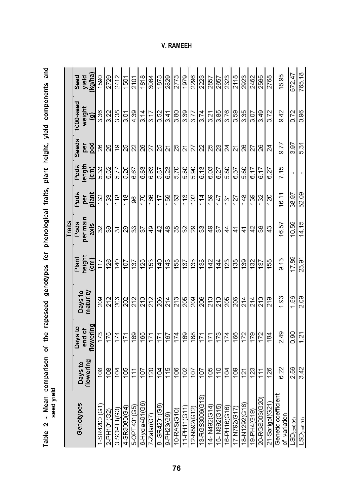| こうしょう                                                                                          |                               |                                        |                                           |                                                                     |                                       |                      |                                               |                     |                                                                                                   |                          |
|------------------------------------------------------------------------------------------------|-------------------------------|----------------------------------------|-------------------------------------------|---------------------------------------------------------------------|---------------------------------------|----------------------|-----------------------------------------------|---------------------|---------------------------------------------------------------------------------------------------|--------------------------|
|                                                                                                |                               |                                        |                                           |                                                                     | Traits                                |                      |                                               |                     |                                                                                                   |                          |
| Genotypes                                                                                      | Days to<br>flowering          | flowering<br>Days to<br>end of         | Days to<br>maturity                       | Plant<br>height<br>(cm)                                             | per main<br>Pods<br>axis              | Pods<br>per<br>plant | $\frac{1}{2}$<br>Pods                         | Seeds<br>per<br>pod | $1000$ -seed<br>weight<br>(g)                                                                     | yield<br>(kg/ha)<br>Seed |
| -SR4200 (G1)                                                                                   | 108                           | 173                                    | 209                                       | $\frac{117}{11}$                                                    |                                       |                      |                                               |                     | $\frac{18}{25}$                                                                                   |                          |
| 2-PH101(G2)                                                                                    | $ \tilde{z} $                 | 175                                    | $\frac{212}{212}$                         | 26                                                                  | 8 8 5 8 8 8 9 9 9 9 8 8 8 8 8 9 9 5 4 | $\frac{8}{15}$       |                                               |                     | $\frac{22}{3}$                                                                                    | $\frac{60}{2729}$        |
| $-SOPT1(G3)$                                                                                   |                               | 174                                    |                                           |                                                                     |                                       |                      |                                               |                     | $\frac{3.38}{3.01}$                                                                               |                          |
| $4 - S$ R3080(G4)                                                                              | $\frac{104}{105}$             | 171                                    | 88888888888888888                         | $rac{140}{107}$                                                     |                                       | $\frac{25}{2}$       |                                               |                     |                                                                                                   | $\frac{2412}{1501}$      |
| $-OPT401(GB)$                                                                                  | 111                           |                                        |                                           | ခြင်းခြင်း                                                          |                                       |                      |                                               |                     | $\sqrt{\frac{30}{4}}$                                                                             |                          |
| 6-Hyola401(G6)                                                                                 |                               |                                        |                                           |                                                                     |                                       |                      |                                               |                     | $\frac{314}{ }$                                                                                   |                          |
| $\frac{7.2afar(G7)}{8.SR4201(68)}$                                                             | $ \tilde{\Xi} \tilde{\Xi} $ g |                                        |                                           |                                                                     |                                       |                      |                                               |                     | $\frac{3.17}{3.52}$                                                                               |                          |
|                                                                                                |                               |                                        |                                           |                                                                     |                                       |                      |                                               |                     |                                                                                                   |                          |
| 9-PH23(G9)<br>10-RAS(G10)                                                                      |                               | <u>ggels algels beispils bei sight</u> |                                           |                                                                     |                                       | $\frac{1}{2}$        | ြင့္ခြင့္အျမင္ဆုံး<br>အခြင့္အျမင္ဆုံးအခြင့္အျ |                     |                                                                                                   |                          |
|                                                                                                |                               |                                        |                                           |                                                                     |                                       |                      |                                               |                     | $\frac{3.41}{3.80}$                                                                               |                          |
| $1-PH11(G11)$                                                                                  | 부위의                           |                                        |                                           | $rac{1}{2}$ $\frac{1}{2}$ $\frac{1}{2}$ $\frac{1}{2}$ $\frac{1}{2}$ |                                       |                      |                                               |                     | $\frac{35}{27}$                                                                                   |                          |
| $\frac{12-1892(612)}{2}$                                                                       |                               |                                        |                                           |                                                                     |                                       |                      |                                               |                     |                                                                                                   |                          |
| 13-RGS3006(G13)                                                                                |                               |                                        |                                           |                                                                     |                                       |                      |                                               |                     | 3.74                                                                                              |                          |
| $\frac{14 \cdot \frac{N492(614)}{15 \cdot \frac{N392(615)}{2}}}{15 \cdot \frac{N392(615)}{2}}$ | 희희희회회                         |                                        |                                           | <u> ä ä ä ä ä </u>                                                  |                                       | $\frac{114}{159}$    |                                               |                     |                                                                                                   |                          |
|                                                                                                |                               |                                        |                                           |                                                                     |                                       | $\frac{147}{1}$      |                                               |                     | $\frac{2}{3}$ $\frac{1}{3}$ $\frac{1}{3}$ $\frac{1}{3}$ $\frac{1}{3}$ $\frac{1}{3}$ $\frac{1}{3}$ |                          |
| 16-PH16(G16)                                                                                   |                               |                                        |                                           |                                                                     |                                       |                      |                                               |                     |                                                                                                   |                          |
| $7-N792(G17)$                                                                                  |                               |                                        |                                           |                                                                     | $\frac{1}{4}$                         | $\frac{137}{127}$    |                                               |                     |                                                                                                   |                          |
| 18-N1292(G18)                                                                                  | $\frac{21}{2}$                |                                        |                                           | $\frac{139}{2}$                                                     | $\frac{1}{4}$                         | 148                  |                                               |                     | 3.35                                                                                              |                          |
| 9-PH4(G19)                                                                                     | 123                           |                                        |                                           | $\frac{132}{137}$                                                   | $ 5 $ ଞ $ 3$                          | $\frac{132}{132}$    | $rac{6.17}{6.17}$                             |                     | 3.07                                                                                              |                          |
| 20-RGS003(G20)                                                                                 | 111                           |                                        | $\frac{5}{2}$ $\frac{2}{2}$ $\frac{2}{2}$ |                                                                     |                                       |                      |                                               |                     | 3.49                                                                                              |                          |
| 21-Sarigol(G21)                                                                                | 126                           | 184                                    |                                           | 158                                                                 |                                       | 120                  | $\overline{6.27}$                             |                     | 3.72                                                                                              | 2768                     |
| Genetic coefficient<br>of variation                                                            | 6.22                          | 2.49                                   | 1.93                                      | 9.13                                                                | 16.57                                 | 16.11                | 7.15                                          | 5.77                | 9.42                                                                                              | 18.95                    |
| $-SD_{(a=0.05)}$                                                                               | 2.56                          | 0.90                                   | 1.56                                      | 17.89                                                               | 10.59                                 | 38.97                |                                               | 3.97                | $\frac{28}{100}$                                                                                  |                          |
| $\mathsf{LSD}_{(a=0.01}$                                                                       | 3.42                          | $\frac{121}{2}$                        | $\frac{8}{20}$                            | 23.91                                                               | 14.15                                 | $\frac{8}{2}$        |                                               | $\sqrt{55}$         |                                                                                                   | 572.47<br>765.18         |

Table 2 - Mean comparison of the rapeseed genotypes for phenological traits, plant height, yield components and<br>seed vield

**V. RAMEEH**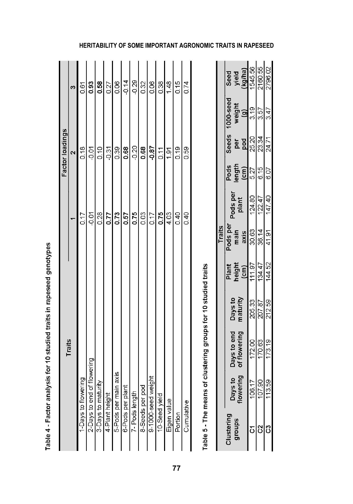| $\frac{15}{12}$<br>0.17<br>$\frac{5}{9}$<br>Traits<br>of flowering<br>5-Pods per main axis<br>6-Pods per plant<br>7- Pods length<br>9-1000-seed weight<br>1-Days to flowering<br>2-Days to end of flo<br>3-Days to maturity<br>8-Seeds per pod<br>4-Plant height<br>10-Seed yield | $\begin{array}{c}\n\mathbf{a} \\ \mathbf{b} \\ \mathbf{c} \\ \mathbf{d}\n\end{array}$ | $\ddot{\mathcal{E}}$ |
|-----------------------------------------------------------------------------------------------------------------------------------------------------------------------------------------------------------------------------------------------------------------------------------|---------------------------------------------------------------------------------------|----------------------|
|                                                                                                                                                                                                                                                                                   |                                                                                       |                      |
|                                                                                                                                                                                                                                                                                   |                                                                                       | 0.61                 |
|                                                                                                                                                                                                                                                                                   |                                                                                       |                      |
|                                                                                                                                                                                                                                                                                   |                                                                                       |                      |
|                                                                                                                                                                                                                                                                                   |                                                                                       |                      |
|                                                                                                                                                                                                                                                                                   |                                                                                       |                      |
|                                                                                                                                                                                                                                                                                   |                                                                                       |                      |
|                                                                                                                                                                                                                                                                                   | $\frac{0.68}{0.20}$                                                                   |                      |
|                                                                                                                                                                                                                                                                                   | 0.68                                                                                  |                      |
|                                                                                                                                                                                                                                                                                   | $-0.87$                                                                               |                      |
|                                                                                                                                                                                                                                                                                   |                                                                                       | 0.38                 |
| Eigen value                                                                                                                                                                                                                                                                       | $\frac{0.11}{1.91}$                                                                   |                      |
| 0.40<br>Portion                                                                                                                                                                                                                                                                   | 0.19                                                                                  | $\frac{48}{10}$      |
| 0.40<br>Cumulative                                                                                                                                                                                                                                                                | 0.59                                                                                  |                      |

Table 4 - Factor analysis for 10 studied traits in rapeseed genotypes

Table 5 - The means of clustering groups for 10 studied traits

|        | <b>Sed<br/>Sed Sigman</b><br>Sed Sigman<br>Sed Sigman<br>Sed Sigman<br>Sed Sigman |                                 |  |
|--------|-----------------------------------------------------------------------------------|---------------------------------|--|
|        | 1000-seed<br>weight<br>(g)                                                        | $\frac{1}{2}$                   |  |
|        | Seeds<br>per<br>pod                                                               | 8 ਸ਼ 도<br>ਸ਼  ਸ਼ <br> ਸ਼  ਸ਼    |  |
|        | Pods<br>Length<br>Length<br>GOT                                                   |                                 |  |
|        | Pods per<br>plant                                                                 | $\frac{124.80}{122.47}$         |  |
| Traits | Pods per<br>main<br>axis                                                          | $\frac{30.63}{30.61}$           |  |
|        | Plant<br>height<br>(cm)                                                           | $\frac{11.97}{134.52}$          |  |
|        | Days to<br>naturity                                                               | ន <mark>្លា</mark><br>ឪន្ត្រីដូ |  |
|        | Days to end<br>of flowering                                                       | 172.00<br>170.19<br>173.19      |  |
|        | Days to<br>Towering                                                               | ငှ <mark>္</mark> ခြန္ဓု<br>၂၁၉ |  |
|        | ustering                                                                          |                                 |  |

# **HERITABILITY OF SOME IMPORTANT AGRONOMIC TRAITS IN RAPESEED**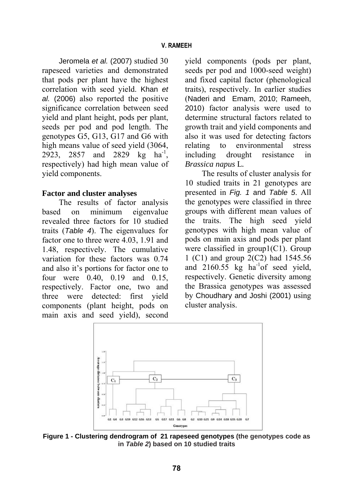Jeromela *et al.* (2007) studied 30 rapeseed varieties and demonstrated that pods per plant have the highest correlation with seed yield. Khan *et al.* (2006) also reported the positive significance correlation between seed yield and plant height, pods per plant, seeds per pod and pod length. The genotypes G5, G13, G17 and G6 with high means value of seed yield (3064, 2923, 2857 and 2829 kg ha<sup>-1</sup>, respectively) had high mean value of yield components.

#### **Factor and cluster analyses**

The results of factor analysis based on minimum eigenvalue revealed three factors for 10 studied traits (*Table 4*). The eigenvalues for factor one to three were 4.03, 1.91 and 1.48, respectively. The cumulative variation for these factors was 0.74 and also it's portions for factor one to four were 0.40, 0.19 and 0.15, respectively. Factor one, two and three were detected: first yield components (plant height, pods on main axis and seed yield), second yield components (pods per plant, seeds per pod and 1000-seed weight) and fixed capital factor (phenological traits), respectively. In earlier studies (Naderi and Emam, 2010; Rameeh, 2010) factor analysis were used to determine structural factors related to growth trait and yield components and also it was used for detecting factors relating to environmental stress including drought resistance in *Brassica napus* L*.*

The results of cluster analysis for 10 studied traits in 21 genotypes are presented in *Fig. 1* and *Table 5*. All the genotypes were classified in three groups with different mean values of the traits. The high seed yield genotypes with high mean value of pods on main axis and pods per plant were classified in group1(C1). Group 1 (C1) and group 2(C2) had 1545.56 and  $2160.55$  kg ha<sup>-1</sup>of seed yield, respectively. Genetic diversity among the Brassica genotypes was assessed by Choudhary and Joshi (2001) using cluster analysis.



**Figure 1 - Clustering dendrogram of 21 rapeseed genotypes (the genotypes code as in** *Table 2***) based on 10 studied traits**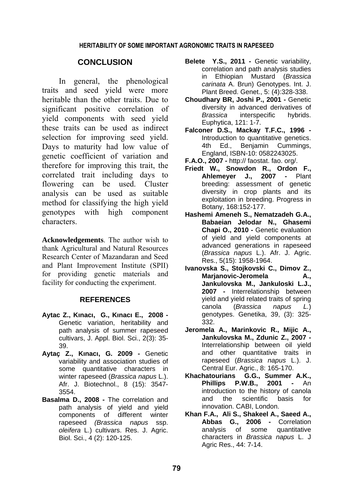## **CONCLUSION**

In general, the phenological traits and seed yield were more heritable than the other traits. Due to significant positive correlation of yield components with seed yield these traits can be used as indirect selection for improving seed yield. Days to maturity had low value of genetic coefficient of variation and therefore for improving this trait, the correlated trait including days to flowering can be used. Cluster analysis can be used as suitable method for classifying the high yield genotypes with high component characters.

**Acknowledgements**. The author wish to thank Agricultural and Natural Resources Research Center of Mazandaran and Seed and Plant Improvement Institute (SPII) for providing genetic materials and facility for conducting the experiment.

#### **REFERENCES**

- **Aytac Z., Kınacı, G., Kınacı E., 2008 -** Genetic variation, heritability and path analysis of summer rapeseed cultivars, J. Appl. Biol. Sci., 2(3): 35- 39.
- **Aytaç Z., Kınacı, G. 2009** Genetic variability and association studies of some quantitative characters in winter rapeseed (*Brassica napus* L.). Afr. J. Biotechnol., 8 (15): 3547- 3554.
- **Basalma D., 2008 -** The correlation and path analysis of yield and yield components of different winter rapeseed *(Brassica napus* ssp. *oleifera* L.) cultivars. Res. J. Agric. Biol. Sci., 4 (2): 120-125.
- Belete Y.S., 2011 Genetic variability, correlation and path analysis studies in Ethiopian Mustard (*Brassica carinata* A. Brun) Genotypes. Int. J. Plant Breed. Genet., 5: (4):328-338.
- **Choudhary BR, Joshi P., 2001 -** Genetic diversity in advanced derivatives of *Brassica* interspecific hybrids. Euphytica, 121: 1-7.
- **Falconer D.S., Mackay T.F.C., 1996 -** Introduction to quantitative genetics. 4th Ed., Benjamin Cummings, England, ISBN-10: 0582243025.
- **F.A.O., 2007 -** http:// faostat. fao. org/.
- **Friedt W., Snowdon R., Ordon F., Ahlemeyer J., 2007 -** Plant breeding: assessment of genetic diversity in crop plants and its exploitation in breeding. Progress in Botany, 168:152-177.
- **Hashemi Ameneh S., Nematzadeh G.A., Babaeian Jelodar N., Ghasemi Chapi O., 2010 -** Genetic evaluation of yield and yield components at advanced generations in rapeseed (*Brassica napus* L.). Afr. J. Agric. Res., 5(15): 1958-1964.
- **Ivanovska S., Stojkovski C., Dimov Z., Marjanovic-Jeromela A., Jankulovska M., Jankuloski L.J., 2007 -** Interrelationship between yield and yield related traits of spring canola (*Brassica napus L.*) genotypes. Genetika, 39, (3): 325- 332.
- **Jeromela A., Marinkovic R., Mijic A., Jankulovska M., Zdunic Z., 2007 -** Interrelationship between oil yield and other quantitative traits in rapeseed (*Brassica napus* L.). J. Central Eur. Agric., 8: 165-170.
- **Khachatourians G.G., Summer A.K., Phillips P.W.B., 2001 -** An introduction to the history of canola and the scientific basis for innovation. CABI, London.
- **Khan F.A., Ali S., Shakeel A., Saeed A., Abbas G., 2006 -** Correlation analysis of some quantitative characters in *Brassica napus* L. J Agric Res., 44: 7-14.